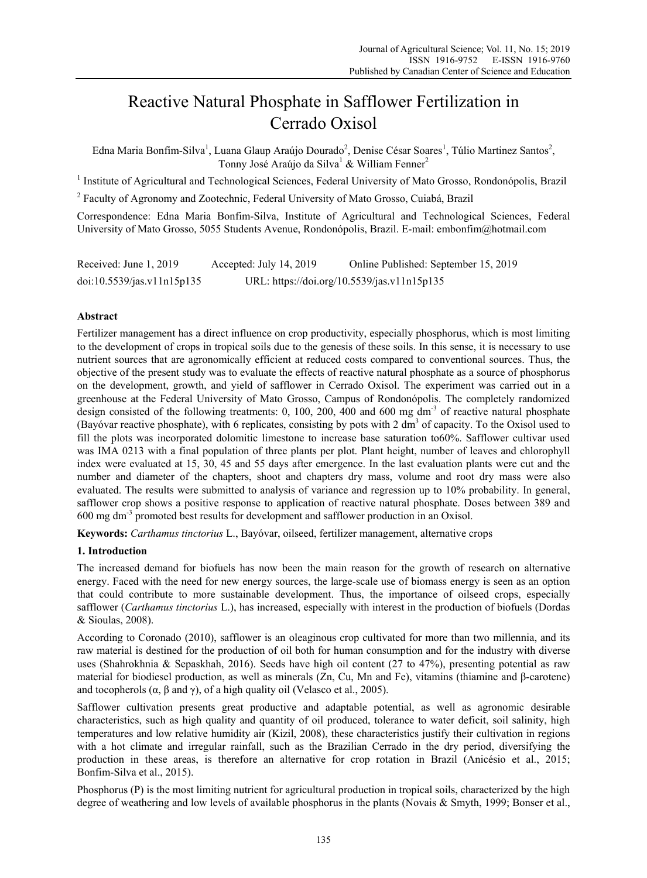# Reactive Natural Phosphate in Safflower Fertilization in Cerrado Oxisol

Edna Maria Bonfim-Silva<sup>1</sup>, Luana Glaup Araújo Dourado<sup>2</sup>, Denise César Soares<sup>1</sup>, Túlio Martinez Santos<sup>2</sup>, Tonny José Araújo da Silva<sup>1</sup> & William Fenner<sup>2</sup>

<sup>1</sup> Institute of Agricultural and Technological Sciences, Federal University of Mato Grosso, Rondonópolis, Brazil

<sup>2</sup> Faculty of Agronomy and Zootechnic, Federal University of Mato Grosso, Cuiabá, Brazil

Correspondence: Edna Maria Bonfim-Silva, Institute of Agricultural and Technological Sciences, Federal University of Mato Grosso, 5055 Students Avenue, Rondonópolis, Brazil. E-mail: embonfim@hotmail.com

| Received: June 1, 2019     | Accepted: July 14, 2019 | Online Published: September 15, 2019        |
|----------------------------|-------------------------|---------------------------------------------|
| doi:10.5539/jas.v11n15p135 |                         | URL: https://doi.org/10.5539/jas.v11n15p135 |

# **Abstract**

Fertilizer management has a direct influence on crop productivity, especially phosphorus, which is most limiting to the development of crops in tropical soils due to the genesis of these soils. In this sense, it is necessary to use nutrient sources that are agronomically efficient at reduced costs compared to conventional sources. Thus, the objective of the present study was to evaluate the effects of reactive natural phosphate as a source of phosphorus on the development, growth, and yield of safflower in Cerrado Oxisol. The experiment was carried out in a greenhouse at the Federal University of Mato Grosso, Campus of Rondonópolis. The completely randomized design consisted of the following treatments: 0, 100, 200, 400 and 600 mg dm<sup>-3</sup> of reactive natural phosphate (Bayóvar reactive phosphate), with 6 replicates, consisting by pots with 2 dm<sup>3</sup> of capacity. To the Oxisol used to fill the plots was incorporated dolomitic limestone to increase base saturation to60%. Safflower cultivar used was IMA 0213 with a final population of three plants per plot. Plant height, number of leaves and chlorophyll index were evaluated at 15, 30, 45 and 55 days after emergence. In the last evaluation plants were cut and the number and diameter of the chapters, shoot and chapters dry mass, volume and root dry mass were also evaluated. The results were submitted to analysis of variance and regression up to 10% probability. In general, safflower crop shows a positive response to application of reactive natural phosphate. Doses between 389 and 600 mg dm-3 promoted best results for development and safflower production in an Oxisol.

**Keywords:** *Carthamus tinctorius* L., Bayóvar, oilseed, fertilizer management, alternative crops

## **1. Introduction**

The increased demand for biofuels has now been the main reason for the growth of research on alternative energy. Faced with the need for new energy sources, the large-scale use of biomass energy is seen as an option that could contribute to more sustainable development. Thus, the importance of oilseed crops, especially safflower (*Carthamus tinctorius* L.), has increased, especially with interest in the production of biofuels (Dordas & Sioulas, 2008).

According to Coronado (2010), safflower is an oleaginous crop cultivated for more than two millennia, and its raw material is destined for the production of oil both for human consumption and for the industry with diverse uses (Shahrokhnia & Sepaskhah, 2016). Seeds have high oil content (27 to 47%), presenting potential as raw material for biodiesel production, as well as minerals (Zn, Cu, Mn and Fe), vitamins (thiamine and β-carotene) and tocopherols  $(\alpha, \beta \text{ and } \gamma)$ , of a high quality oil (Velasco et al., 2005).

Safflower cultivation presents great productive and adaptable potential, as well as agronomic desirable characteristics, such as high quality and quantity of oil produced, tolerance to water deficit, soil salinity, high temperatures and low relative humidity air (Kizil, 2008), these characteristics justify their cultivation in regions with a hot climate and irregular rainfall, such as the Brazilian Cerrado in the dry period, diversifying the production in these areas, is therefore an alternative for crop rotation in Brazil (Anicésio et al., 2015; Bonfim-Silva et al., 2015).

Phosphorus (P) is the most limiting nutrient for agricultural production in tropical soils, characterized by the high degree of weathering and low levels of available phosphorus in the plants (Novais & Smyth, 1999; Bonser et al.,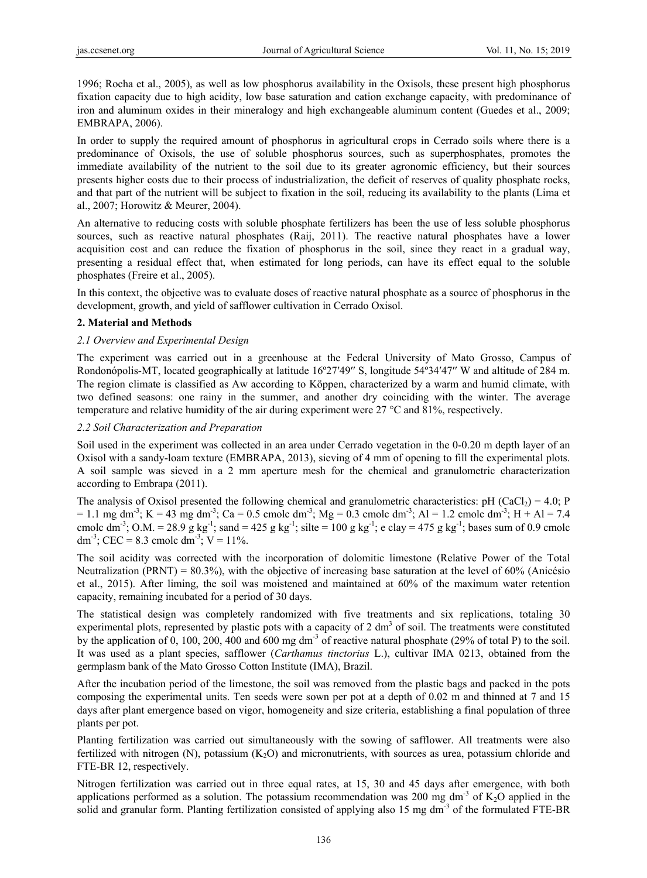1996; Rocha et al., 2005), as well as low phosphorus availability in the Oxisols, these present high phosphorus fixation capacity due to high acidity, low base saturation and cation exchange capacity, with predominance of iron and aluminum oxides in their mineralogy and high exchangeable aluminum content (Guedes et al., 2009; EMBRAPA, 2006).

In order to supply the required amount of phosphorus in agricultural crops in Cerrado soils where there is a predominance of Oxisols, the use of soluble phosphorus sources, such as superphosphates, promotes the immediate availability of the nutrient to the soil due to its greater agronomic efficiency, but their sources presents higher costs due to their process of industrialization, the deficit of reserves of quality phosphate rocks, and that part of the nutrient will be subject to fixation in the soil, reducing its availability to the plants (Lima et al., 2007; Horowitz & Meurer, 2004).

An alternative to reducing costs with soluble phosphate fertilizers has been the use of less soluble phosphorus sources, such as reactive natural phosphates (Raij, 2011). The reactive natural phosphates have a lower acquisition cost and can reduce the fixation of phosphorus in the soil, since they react in a gradual way, presenting a residual effect that, when estimated for long periods, can have its effect equal to the soluble phosphates (Freire et al., 2005).

In this context, the objective was to evaluate doses of reactive natural phosphate as a source of phosphorus in the development, growth, and yield of safflower cultivation in Cerrado Oxisol.

# **2. Material and Methods**

# *2.1 Overview and Experimental Design*

The experiment was carried out in a greenhouse at the Federal University of Mato Grosso, Campus of Rondonópolis-MT, located geographically at latitude 16º27′49′′ S, longitude 54º34′47′′ W and altitude of 284 m. The region climate is classified as Aw according to Köppen, characterized by a warm and humid climate, with two defined seasons: one rainy in the summer, and another dry coinciding with the winter. The average temperature and relative humidity of the air during experiment were 27 °C and 81%, respectively.

## *2.2 Soil Characterization and Preparation*

Soil used in the experiment was collected in an area under Cerrado vegetation in the 0-0.20 m depth layer of an Oxisol with a sandy-loam texture (EMBRAPA, 2013), sieving of 4 mm of opening to fill the experimental plots. A soil sample was sieved in a 2 mm aperture mesh for the chemical and granulometric characterization according to Embrapa (2011).

The analysis of Oxisol presented the following chemical and granulometric characteristics: pH (CaCl<sub>2</sub>) = 4.0; P  $= 1.1$  mg dm<sup>-3</sup>; K = 43 mg dm<sup>-3</sup>; Ca = 0.5 cmolc dm<sup>-3</sup>; Mg = 0.3 cmolc dm<sup>-3</sup>; Al = 1.2 cmolc dm<sup>-3</sup>; H + Al = 7.4 cmolc dm<sup>-3</sup>; O.M. = 28.9 g kg<sup>-1</sup>; sand = 425 g kg<sup>-1</sup>; silte = 100 g kg<sup>-1</sup>; e clay = 475 g kg<sup>-1</sup>; bases sum of 0.9 cmolc dm<sup>-3</sup>; CEC = 8.3 cmolc dm<sup>-3</sup>; V = 11%.

The soil acidity was corrected with the incorporation of dolomitic limestone (Relative Power of the Total Neutralization (PRNT) = 80.3%), with the objective of increasing base saturation at the level of 60% (Anicésio et al., 2015). After liming, the soil was moistened and maintained at 60% of the maximum water retention capacity, remaining incubated for a period of 30 days.

The statistical design was completely randomized with five treatments and six replications, totaling 30 experimental plots, represented by plastic pots with a capacity of  $2 \text{ dm}^3$  of soil. The treatments were constituted by the application of 0, 100, 200, 400 and 600 mg dm-3 of reactive natural phosphate (29% of total P) to the soil. It was used as a plant species, safflower (*Carthamus tinctorius* L.), cultivar IMA 0213, obtained from the germplasm bank of the Mato Grosso Cotton Institute (IMA), Brazil.

After the incubation period of the limestone, the soil was removed from the plastic bags and packed in the pots composing the experimental units. Ten seeds were sown per pot at a depth of 0.02 m and thinned at 7 and 15 days after plant emergence based on vigor, homogeneity and size criteria, establishing a final population of three plants per pot.

Planting fertilization was carried out simultaneously with the sowing of safflower. All treatments were also fertilized with nitrogen  $(N)$ , potassium  $(K_2O)$  and micronutrients, with sources as urea, potassium chloride and FTE-BR 12, respectively.

Nitrogen fertilization was carried out in three equal rates, at 15, 30 and 45 days after emergence, with both applications performed as a solution. The potassium recommendation was 200 mg dm<sup>-3</sup> of K<sub>2</sub>O applied in the solid and granular form. Planting fertilization consisted of applying also 15 mg dm<sup>-3</sup> of the formulated FTE-BR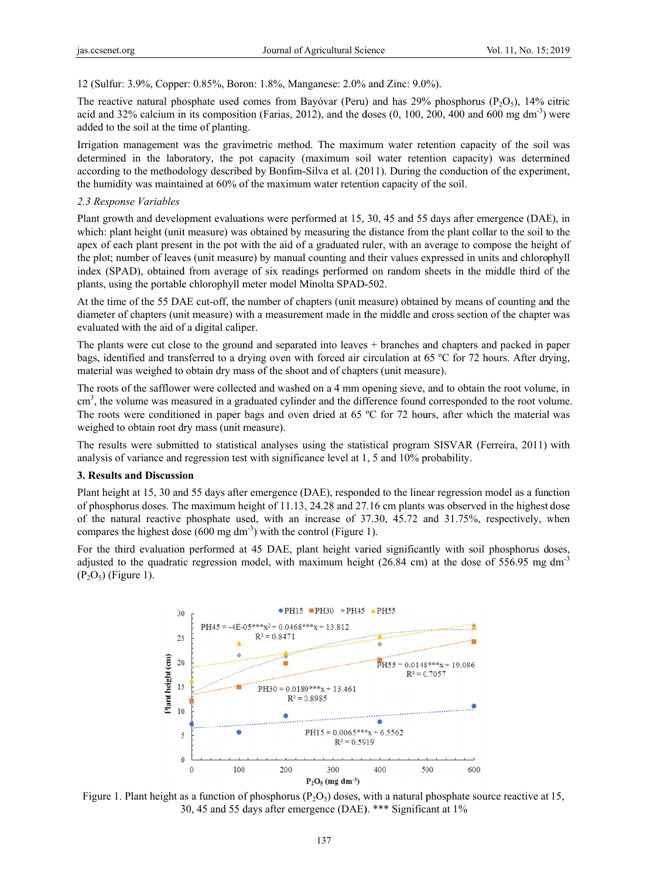12 (Sulfur: 3.9%, Copper: 0.85%, Boron: 1.8%, Manganese: 2.0% and Zinc: 9.0%).

The reactive natural phosphate used comes from Bayóvar (Peru) and has 29% phosphorus ( $P_2O_5$ ), 14% citric acid and 32% calcium in its composition (Farias, 2012), and the doses  $(0, 100, 200, 400$  and  $600$  mg dm<sup>-3</sup>) were added to the soil at the time of planting.

Irrigation management was the gravimetric method. The maximum water retention capacity of the soil was determined in the laboratory, the pot capacity (maximum soil water retention capacity) was determined according to the methodology described by Bonfim-Silva et al. (2011). During the conduction of the experiment, the humidity was maintained at 60% of the maximum water retention capacity of the soil.

# 2.3 Response Variables

Plant growth and development evaluations were performed at 15, 30, 45 and 55 days after emergence (DAE), in which: plant height (unit measure) was obtained by measuring the distance from the plant collar to the soil to the apex of each plant present in the pot with the aid of a graduated ruler, with an average to compose the height of the plot; number of leaves (unit measure) by manual counting and their values expressed in units and chlorophyll index (SPAD), obtained from average of six readings performed on random sheets in the middle third of the plants, using the portable chlorophyll meter model Minolta SPAD-502.

At the time of the 55 DAE cut-off, the number of chapters (unit measure) obtained by means of counting and the diameter of chapters (unit measure) with a measurement made in the middle and cross section of the chapter was evaluated with the aid of a digital caliper.

The plants were cut close to the ground and separated into leaves + branches and chapters and packed in paper bags, identified and transferred to a drying oven with forced air circulation at 65 °C for 72 hours. After drying, material was weighed to obtain dry mass of the shoot and of chapters (unit measure).

The roots of the safflower were collected and washed on a 4 mm opening sieve, and to obtain the root volume, in cm<sup>3</sup>, the volume was measured in a graduated cylinder and the difference found corresponded to the root volume. The roots were conditioned in paper bags and oven dried at 65 °C for 72 hours, after which the material was weighed to obtain root dry mass (unit measure).

The results were submitted to statistical analyses using the statistical program SISVAR (Ferreira, 2011) with analysis of variance and regression test with significance level at 1, 5 and 10% probability.

## **3. Results and Discussion**

Plant height at 15, 30 and 55 days after emergence (DAE), responded to the linear regression model as a function of phosphorus doses. The maximum height of 11.13, 24.28 and 27.16 cm plants was observed in the highest dose of the natural reactive phosphate used, with an increase of 37.30, 45.72 and 31.75%, respectively, when compares the highest dose  $(600 \text{ mg dm}^{-3})$  with the control (Figure 1).

For the third evaluation performed at 45 DAE, plant height varied significantly with soil phosphorus doses, adjusted to the quadratic regression model, with maximum height (26.84 cm) at the dose of 556.95 mg dm<sup>-3</sup>  $(P_2O_5)$  (Figure 1).



Figure 1. Plant height as a function of phosphorus ( $P_2O_5$ ) doses, with a natural phosphate source reactive at 15, 30, 45 and 55 days after emergence (DAE). \*\*\* Significant at 1%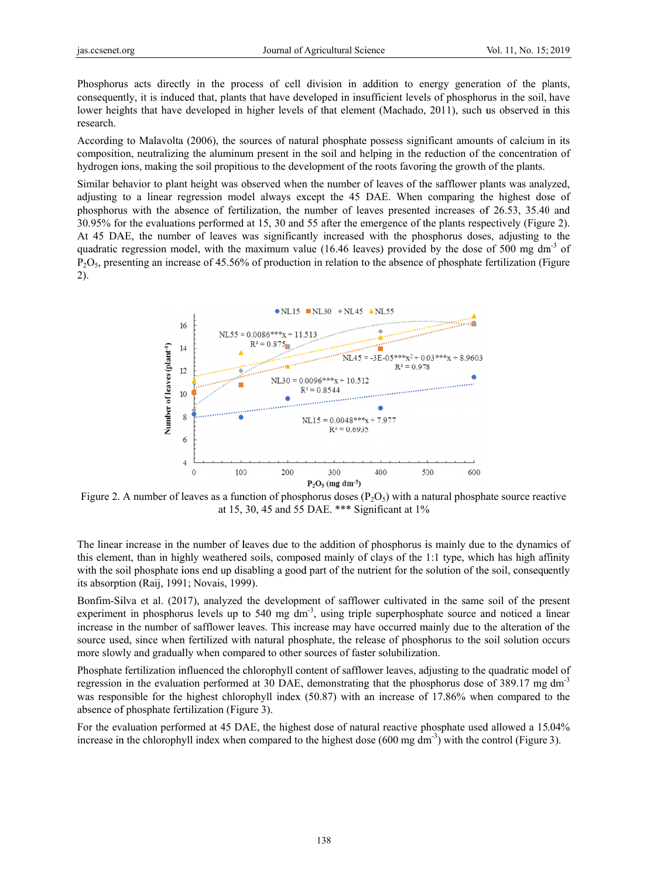Phosphorus acts directly in the process of cell division in addition to energy generation of the plants, consequently, it is induced that, plants that have developed in insufficient levels of phosphorus in the soil, have lower heights that have developed in higher levels of that element (Machado, 2011), such us observed in this research.

According to Malavolta (2006), the sources of natural phosphate possess significant amounts of calcium in its composition, neutralizing the aluminum present in the soil and helping in the reduction of the concentration of hydrogen ions, making the soil propitious to the development of the roots favoring the growth of the plants.

Similar behavior to plant height was observed when the number of leaves of the safflower plants was analyzed. adjusting to a linear regression model always except the 45 DAE. When comparing the highest dose of phosphorus with the absence of fertilization, the number of leaves presented increases of 26.53, 35.40 and 30.95% for the evaluations performed at 15, 30 and 55 after the emergence of the plants respectively (Figure 2). At 45 DAE, the number of leaves was significantly increased with the phosphorus doses, adjusting to the quadratic regression model, with the maximum value (16.46 leaves) provided by the dose of 500 mg dm<sup>-3</sup> of  $P_2O_5$ , presenting an increase of 45.56% of production in relation to the absence of phosphate fertilization (Figure  $2)$ .



Figure 2. A number of leaves as a function of phosphorus doses  $(P_2O_5)$  with a natural phosphate source reactive at 15, 30, 45 and 55 DAE. \*\*\* Significant at 1%

The linear increase in the number of leaves due to the addition of phosphorus is mainly due to the dynamics of this element, than in highly weathered soils, composed mainly of clays of the 1:1 type, which has high affinity with the soil phosphate ions end up disabling a good part of the nutrient for the solution of the soil, consequently its absorption (Raij, 1991; Novais, 1999).

Bonfim-Silva et al. (2017), analyzed the development of safflower cultivated in the same soil of the present experiment in phosphorus levels up to 540 mg  $dm^{-3}$ , using triple superphosphate source and noticed a linear increase in the number of safflower leaves. This increase may have occurred mainly due to the alteration of the source used, since when fertilized with natural phosphate, the release of phosphorus to the soil solution occurs more slowly and gradually when compared to other sources of faster solubilization.

Phosphate fertilization influenced the chlorophyll content of safflower leaves, adjusting to the quadratic model of regression in the evaluation performed at 30 DAE, demonstrating that the phosphorus dose of 389.17 mg dm<sup>-3</sup> was responsible for the highest chlorophyll index (50.87) with an increase of 17.86% when compared to the absence of phosphate fertilization (Figure 3).

For the evaluation performed at 45 DAE, the highest dose of natural reactive phosphate used allowed a 15.04% increase in the chlorophyll index when compared to the highest dose  $(600 \text{ mg dm}^{-3})$  with the control (Figure 3).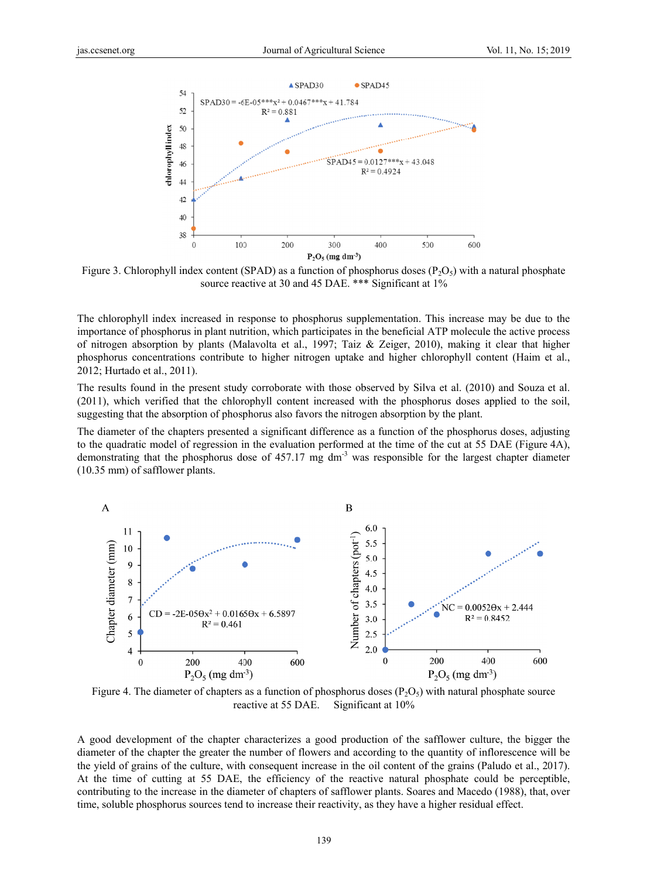

Figure 3. Chlorophyll index content (SPAD) as a function of phosphorus doses ( $P_2O_5$ ) with a natural phosphate source reactive at 30 and 45 DAE. \*\*\* Significant at 1%

The chlorophyll index increased in response to phosphorus supplementation. This increase may be due to the importance of phosphorus in plant nutrition, which participates in the beneficial ATP molecule the active process of nitrogen absorption by plants (Malavolta et al., 1997; Taiz & Zeiger, 2010), making it clear that higher phosphorus concentrations contribute to higher nitrogen uptake and higher chlorophyll content (Haim et al., 2012; Hurtado et al., 2011).

The results found in the present study corroborate with those observed by Silva et al. (2010) and Souza et al. (2011), which verified that the chlorophyll content increased with the phosphorus doses applied to the soil, suggesting that the absorption of phosphorus also favors the nitrogen absorption by the plant.

The diameter of the chapters presented a significant difference as a function of the phosphorus doses, adjusting to the quadratic model of regression in the evaluation performed at the time of the cut at 55 DAE (Figure 4A). demonstrating that the phosphorus dose of 457.17 mg  $dm<sup>3</sup>$  was responsible for the largest chapter diameter  $(10.35 \text{ mm})$  of safflower plants.



Figure 4. The diameter of chapters as a function of phosphorus doses ( $P_2O_5$ ) with natural phosphate source reactive at 55 DAE. Significant at 10%

A good development of the chapter characterizes a good production of the safflower culture, the bigger the diameter of the chapter the greater the number of flowers and according to the quantity of inflorescence will be the yield of grains of the culture, with consequent increase in the oil content of the grains (Paludo et al., 2017). At the time of cutting at 55 DAE, the efficiency of the reactive natural phosphate could be perceptible, contributing to the increase in the diameter of chapters of safflower plants. Soares and Macedo (1988), that, over time, soluble phosphorus sources tend to increase their reactivity, as they have a higher residual effect.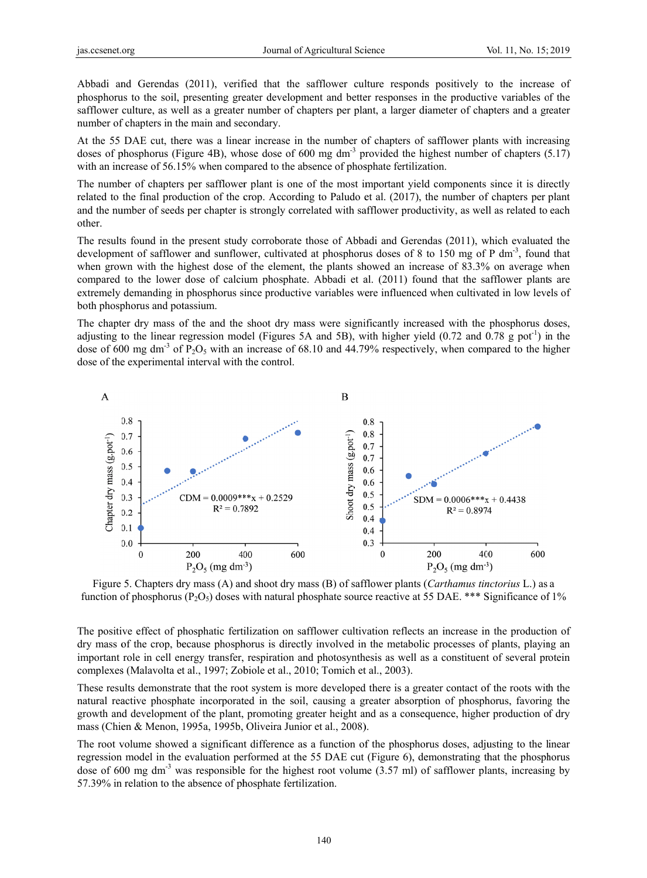Abbadi and Gerendas (2011), verified that the safflower culture responds positively to the increase of phosphorus to the soil, presenting greater development and better responses in the productive variables of the safflower culture, as well as a greater number of chapters per plant, a larger diameter of chapters and a greater number of chapters in the main and secondary.

At the 55 DAE cut, there was a linear increase in the number of chapters of safflower plants with increasing doses of phosphorus (Figure 4B), whose dose of 600 mg dm<sup>-3</sup> provided the highest number of chapters  $(5.17)$ with an increase of 56.15% when compared to the absence of phosphate fertilization.

The number of chapters per safflower plant is one of the most important vield components since it is directly related to the final production of the crop. According to Paludo et al. (2017), the number of chapters per plant and the number of seeds per chapter is strongly correlated with safflower productivity, as well as related to each other.

The results found in the present study corroborate those of Abbadi and Gerendas (2011), which evaluated the development of safflower and sunflower, cultivated at phosphorus doses of 8 to 150 mg of P dm<sup>-3</sup>, found that when grown with the highest dose of the element, the plants showed an increase of 83.3% on average when compared to the lower dose of calcium phosphate. Abbadi et al. (2011) found that the safflower plants are extremely demanding in phosphorus since productive variables were influenced when cultivated in low levels of both phosphorus and potassium.

The chapter dry mass of the and the shoot dry mass were significantly increased with the phosphorus doses, adjusting to the linear regression model (Figures 5A and 5B), with higher yield (0.72 and 0.78 g pot<sup>-1</sup>) in the dose of 600 mg dm<sup>-3</sup> of P<sub>2</sub>O<sub>5</sub> with an increase of 68.10 and 44.79% respectively, when compared to the higher dose of the experimental interval with the control.



Figure 5. Chapters dry mass (A) and shoot dry mass (B) of safflower plants (Carthamus tinctorius L.) as a function of phosphorus ( $P_2O_5$ ) doses with natural phosphate source reactive at 55 DAE. \*\*\* Significance of 1%

The positive effect of phosphatic fertilization on safflower cultivation reflects an increase in the production of dry mass of the crop, because phosphorus is directly involved in the metabolic processes of plants, playing an important role in cell energy transfer, respiration and photosynthesis as well as a constituent of several protein complexes (Malavolta et al., 1997; Zobiole et al., 2010; Tomich et al., 2003).

These results demonstrate that the root system is more developed there is a greater contact of the roots with the natural reactive phosphate incorporated in the soil, causing a greater absorption of phosphorus, favoring the growth and development of the plant, promoting greater height and as a consequence, higher production of dry mass (Chien & Menon, 1995a, 1995b, Oliveira Junior et al., 2008).

The root volume showed a significant difference as a function of the phosphorus doses, adjusting to the linear regression model in the evaluation performed at the 55 DAE cut (Figure 6), demonstrating that the phosphorus dose of 600 mg dm<sup>-3</sup> was responsible for the highest root volume  $(3.57 \text{ ml})$  of safflower plants, increasing by 57.39% in relation to the absence of phosphate fertilization.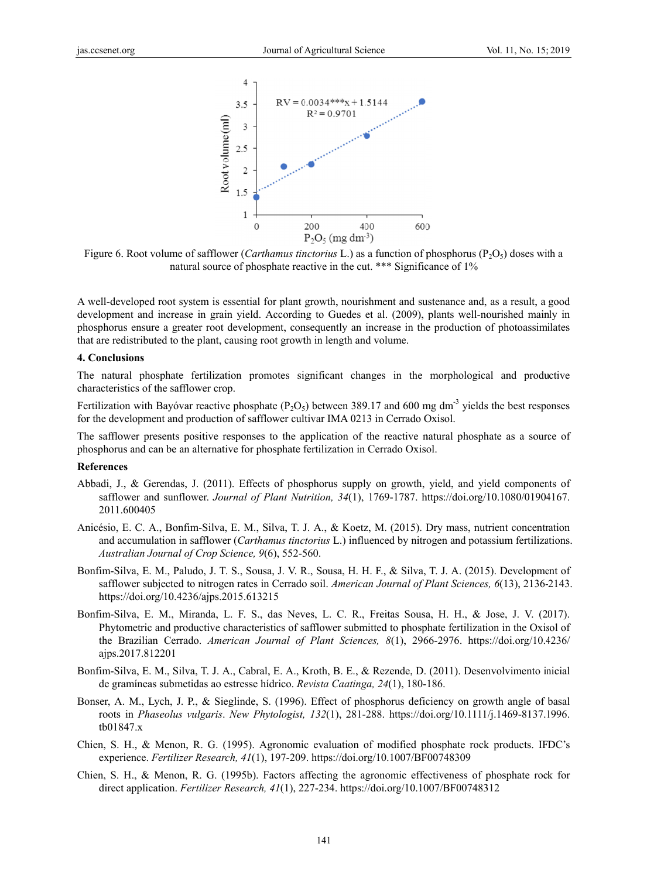

Figure 6. Root volume of safflower (Carthamus tinctorius L.) as a function of phosphorus ( $P_2O_5$ ) doses with a natural source of phosphate reactive in the cut. \*\*\* Significance of 1%

A well-developed root system is essential for plant growth, nourishment and sustenance and, as a result, a good development and increase in grain yield. According to Guedes et al. (2009), plants well-nourished mainly in phosphorus ensure a greater root development, consequently an increase in the production of photoassimilates that are redistributed to the plant, causing root growth in length and volume.

#### 4. Conclusions

The natural phosphate fertilization promotes significant changes in the morphological and productive characteristics of the safflower crop.

Fertilization with Bayóvar reactive phosphate ( $P_2O_5$ ) between 389.17 and 600 mg dm<sup>-3</sup> yields the best responses for the development and production of safflower cultivar IMA 0213 in Cerrado Oxisol.

The safflower presents positive responses to the application of the reactive natural phosphate as a source of phosphorus and can be an alternative for phosphate fertilization in Cerrado Oxisol.

#### **References**

- Abbadi, J., & Gerendas, J. (2011). Effects of phosphorus supply on growth, yield, and yield components of safflower and sunflower. Journal of Plant Nutrition, 34(1), 1769-1787. https://doi.org/10.1080/01904167. 2011.600405
- Anicésio, E. C. A., Bonfim-Silva, E. M., Silva, T. J. A., & Koetz, M. (2015). Dry mass, nutrient concentration and accumulation in safflower (Carthamus tinctorius L.) influenced by nitrogen and potassium fertilizations. Australian Journal of Crop Science, 9(6), 552-560.
- Bonfim-Silva, E. M., Paludo, J. T. S., Sousa, J. V. R., Sousa, H. H. F., & Silva, T. J. A. (2015). Development of safflower subjected to nitrogen rates in Cerrado soil. American Journal of Plant Sciences, 6(13), 2136-2143. https://doi.org/10.4236/aips.2015.613215
- Bonfim-Silva, E. M., Miranda, L. F. S., das Neves, L. C. R., Freitas Sousa, H. H., & Jose, J. V. (2017). Phytometric and productive characteristics of safflower submitted to phosphate fertilization in the Oxisol of the Brazilian Cerrado. American Journal of Plant Sciences, 8(1), 2966-2976. https://doi.org/10.4236/ ajps.2017.812201
- Bonfim-Silva, E. M., Silva, T. J. A., Cabral, E. A., Kroth, B. E., & Rezende, D. (2011). Desenvolvimento inicial de gramíneas submetidas ao estresse hídrico. Revista Caatinga, 24(1), 180-186.
- Bonser, A. M., Lych, J. P., & Sieglinde, S. (1996). Effect of phosphorus deficiency on growth angle of basal roots in Phaseolus vulgaris. New Phytologist, 132(1), 281-288. https://doi.org/10.1111/j.1469-8137.1996. tb01847.x
- Chien, S. H., & Menon, R. G. (1995). Agronomic evaluation of modified phosphate rock products. IFDC's experience. Fertilizer Research,  $41(1)$ , 197-209. https://doi.org/10.1007/BF00748309
- Chien, S. H., & Menon, R. G. (1995b). Factors affecting the agronomic effectiveness of phosphate rock for direct application. Fertilizer Research, 41(1), 227-234. https://doi.org/10.1007/BF00748312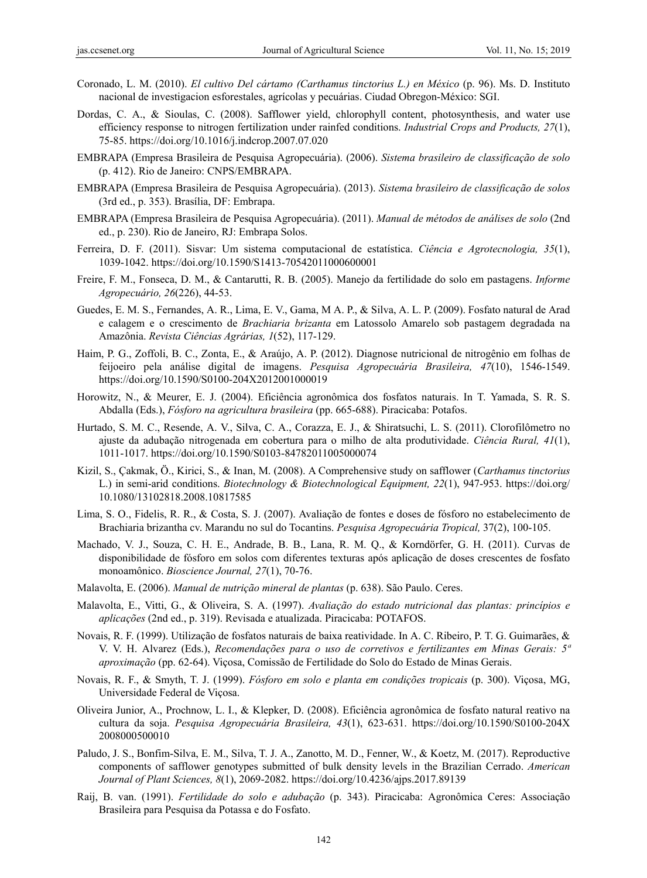- Coronado, L. M. (2010). *El cultivo Del cártamo (Carthamus tinctorius L.) en México* (p. 96). Ms. D. Instituto nacional de investigacion esforestales, agrícolas y pecuárias. Ciudad Obregon-México: SGI.
- Dordas, C. A., & Sioulas, C. (2008). Safflower yield, chlorophyll content, photosynthesis, and water use efficiency response to nitrogen fertilization under rainfed conditions. *Industrial Crops and Products, 27*(1), 75-85. https://doi.org/10.1016/j.indcrop.2007.07.020
- EMBRAPA (Empresa Brasileira de Pesquisa Agropecuária). (2006). *Sistema brasileiro de classificação de solo* (p. 412). Rio de Janeiro: CNPS/EMBRAPA.
- EMBRAPA (Empresa Brasileira de Pesquisa Agropecuária). (2013). *Sistema brasileiro de classificação de solos*  (3rd ed., p. 353). Brasília, DF: Embrapa.
- EMBRAPA (Empresa Brasileira de Pesquisa Agropecuária). (2011). *Manual de métodos de análises de solo* (2nd ed., p. 230). Rio de Janeiro, RJ: Embrapa Solos.
- Ferreira, D. F. (2011). Sisvar: Um sistema computacional de estatística. *Ciência e Agrotecnologia, 35*(1), 1039-1042. https://doi.org/10.1590/S1413-70542011000600001
- Freire, F. M., Fonseca, D. M., & Cantarutti, R. B. (2005). Manejo da fertilidade do solo em pastagens. *Informe Agropecuário, 26*(226), 44-53.
- Guedes, E. M. S., Fernandes, A. R., Lima, E. V., Gama, M A. P., & Silva, A. L. P. (2009). Fosfato natural de Arad e calagem e o crescimento de *Brachiaria brizanta* em Latossolo Amarelo sob pastagem degradada na Amazônia. *Revista Ciências Agrárias, 1*(52), 117-129.
- Haim, P. G., Zoffoli, B. C., Zonta, E., & Araújo, A. P. (2012). Diagnose nutricional de nitrogênio em folhas de feijoeiro pela análise digital de imagens. *Pesquisa Agropecuária Brasileira, 47*(10), 1546-1549. https://doi.org/10.1590/S0100-204X2012001000019
- Horowitz, N., & Meurer, E. J. (2004). Eficiência agronômica dos fosfatos naturais. In T. Yamada, S. R. S. Abdalla (Eds.), *Fósforo na agricultura brasileira* (pp. 665-688). Piracicaba: Potafos.
- Hurtado, S. M. C., Resende, A. V., Silva, C. A., Corazza, E. J., & Shiratsuchi, L. S. (2011). Clorofilômetro no ajuste da adubação nitrogenada em cobertura para o milho de alta produtividade. *Ciência Rural, 41*(1), 1011-1017. https://doi.org/10.1590/S0103-84782011005000074
- Kizil, S., Çakmak, Ö., Kirici, S., & Inan, M. (2008). A Comprehensive study on safflower (*Carthamus tinctorius* L.) in semi-arid conditions. *Biotechnology & Biotechnological Equipment, 22*(1), 947-953. https://doi.org/ 10.1080/13102818.2008.10817585
- Lima, S. O., Fidelis, R. R., & Costa, S. J. (2007). Avaliação de fontes e doses de fósforo no estabelecimento de Brachiaria brizantha cv. Marandu no sul do Tocantins. *Pesquisa Agropecuária Tropical,* 37(2), 100-105.
- Machado, V. J., Souza, C. H. E., Andrade, B. B., Lana, R. M. Q., & Korndörfer, G. H. (2011). Curvas de disponibilidade de fósforo em solos com diferentes texturas após aplicação de doses crescentes de fosfato monoamônico. *Bioscience Journal, 27*(1), 70-76.
- Malavolta, E. (2006). *Manual de nutrição mineral de plantas* (p. 638). São Paulo. Ceres.
- Malavolta, E., Vitti, G., & Oliveira, S. A. (1997). *Avaliação do estado nutricional das plantas: princípios e aplicações* (2nd ed., p. 319). Revisada e atualizada. Piracicaba: POTAFOS.
- Novais, R. F. (1999). Utilização de fosfatos naturais de baixa reatividade. In A. C. Ribeiro, P. T. G. Guimarães, & V. V. H. Alvarez (Eds.), *Recomendações para o uso de corretivos e fertilizantes em Minas Gerais: 5ª aproximação* (pp. 62-64). Viçosa, Comissão de Fertilidade do Solo do Estado de Minas Gerais.
- Novais, R. F., & Smyth, T. J. (1999). *Fósforo em solo e planta em condições tropicais* (p. 300). Viçosa, MG, Universidade Federal de Viçosa.
- Oliveira Junior, A., Prochnow, L. I., & Klepker, D. (2008). Eficiência agronômica de fosfato natural reativo na cultura da soja. *Pesquisa Agropecuária Brasileira, 43*(1), 623-631. https://doi.org/10.1590/S0100-204X 2008000500010
- Paludo, J. S., Bonfim-Silva, E. M., Silva, T. J. A., Zanotto, M. D., Fenner, W., & Koetz, M. (2017). Reproductive components of safflower genotypes submitted of bulk density levels in the Brazilian Cerrado. *American Journal of Plant Sciences, 8*(1), 2069-2082. https://doi.org/10.4236/ajps.2017.89139
- Raij, B. van. (1991). *Fertilidade do solo e adubação* (p. 343). Piracicaba: Agronômica Ceres: Associação Brasileira para Pesquisa da Potassa e do Fosfato.